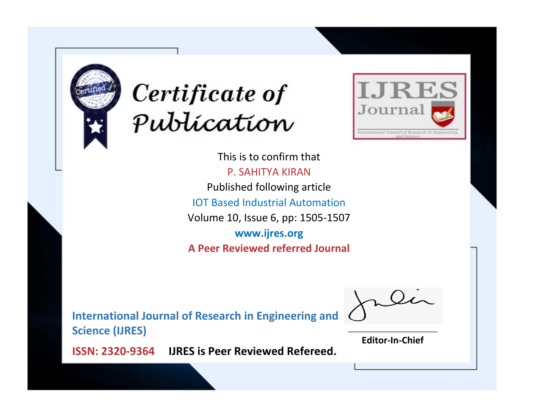



This is to confirm that P. SAHITYA KIRAN Published following article IOT Based Industrial Automation Volume 10, Issue 6, pp: 1505-1507 **www.ijres.org A Peer Reviewed referred Journal**

**International Journal of Research in Engineering and Science (IJRES)**

\_\_\_\_\_\_\_\_\_\_\_\_\_\_\_\_\_\_\_\_\_\_\_\_ **Editor-In-Chief**

**Journal.**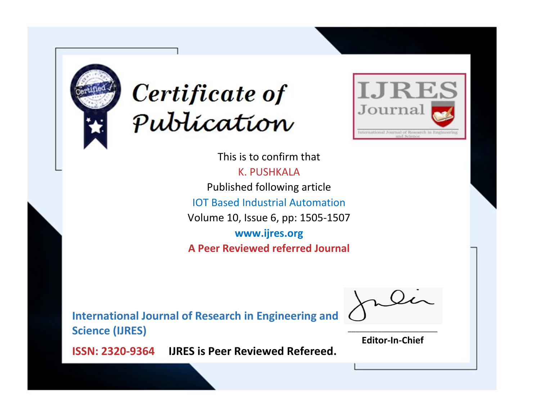



This is to confirm that K. PUSHKALA Published following article IOT Based Industrial Automation Volume 10, Issue 6, pp: 1505-1507 **www.ijres.org A Peer Reviewed referred Journal**

**International Journal of Research in Engineering and Science (IJRES)**

\_\_\_\_\_\_\_\_\_\_\_\_\_\_\_\_\_\_\_\_\_\_\_\_ **Editor-In-Chief**

**Journal.**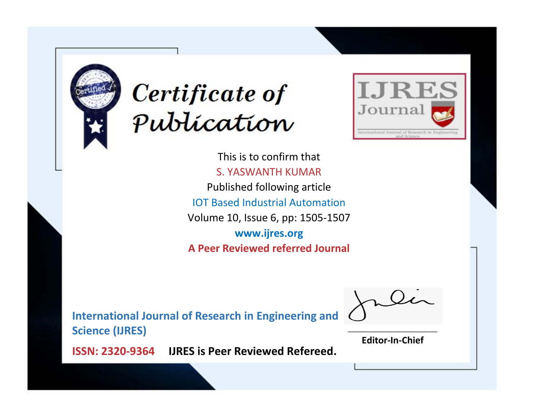



This is to confirm that S. YASWANTH KUMAR Published following article IOT Based Industrial Automation Volume 10, Issue 6, pp: 1505-1507 **www.ijres.org A Peer Reviewed referred Journal**

**International Journal of Research in Engineering and Science (IJRES)**

\_\_\_\_\_\_\_\_\_\_\_\_\_\_\_\_\_\_\_\_\_\_\_\_ **Editor-In-Chief**

**Journal.**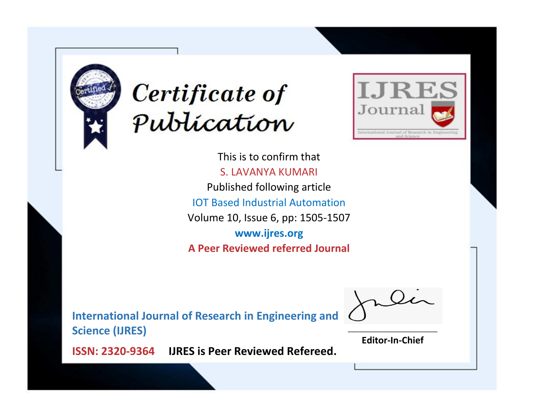



This is to confirm that S. LAVANYA KUMARI Published following article IOT Based Industrial Automation Volume 10, Issue 6, pp: 1505-1507 **www.ijres.org A Peer Reviewed referred Journal**

**International Journal of Research in Engineering and Science (IJRES)**

\_\_\_\_\_\_\_\_\_\_\_\_\_\_\_\_\_\_\_\_\_\_\_\_ **Editor-In-Chief**

**Journal.**